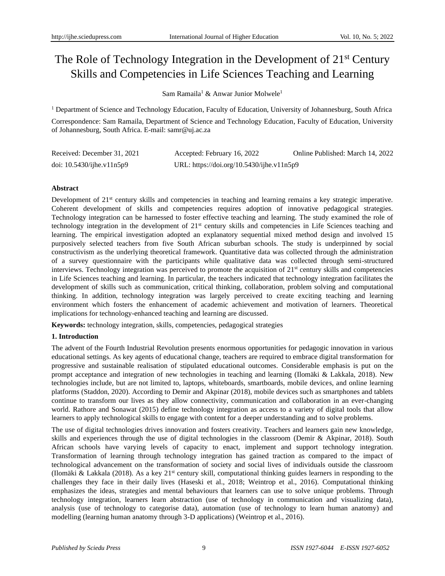# The Role of Technology Integration in the Development of 21<sup>st</sup> Century Skills and Competencies in Life Sciences Teaching and Learning

Sam Ramaila<sup>1</sup> & Anwar Junior Molwele<sup>1</sup>

<sup>1</sup> Department of Science and Technology Education, Faculty of Education, University of Johannesburg, South Africa Correspondence: Sam Ramaila, Department of Science and Technology Education, Faculty of Education, University of Johannesburg, South Africa. E-mail[: samr@uj.ac.za](mailto:samr@uj.ac.za)

| Received: December 31, 2021     | Accepted: February 16, 2022               | Online Published: March 14, 2022 |
|---------------------------------|-------------------------------------------|----------------------------------|
| doi: $10.5430$ /ijhe.v $11n5p9$ | URL: https://doi.org/10.5430/ijhe.v11n5p9 |                                  |

## **Abstract**

Development of 21<sup>st</sup> century skills and competencies in teaching and learning remains a key strategic imperative. Coherent development of skills and competencies requires adoption of innovative pedagogical strategies. Technology integration can be harnessed to foster effective teaching and learning. The study examined the role of technology integration in the development of 21<sup>st</sup> century skills and competencies in Life Sciences teaching and learning. The empirical investigation adopted an explanatory sequential mixed method design and involved 15 purposively selected teachers from five South African suburban schools. The study is underpinned by social constructivism as the underlying theoretical framework. Quantitative data was collected through the administration of a survey questionnaire with the participants while qualitative data was collected through semi-structured interviews. Technology integration was perceived to promote the acquisition of  $21<sup>st</sup>$  century skills and competencies in Life Sciences teaching and learning. In particular, the teachers indicated that technology integration facilitates the development of skills such as communication, critical thinking, collaboration, problem solving and computational thinking. In addition, technology integration was largely perceived to create exciting teaching and learning environment which fosters the enhancement of academic achievement and motivation of learners. Theoretical implications for technology-enhanced teaching and learning are discussed.

**Keywords:** technology integration, skills, competencies, pedagogical strategies

# **1. Introduction**

The advent of the Fourth Industrial Revolution presents enormous opportunities for pedagogic innovation in various educational settings. As key agents of educational change, teachers are required to embrace digital transformation for progressive and sustainable realisation of stipulated educational outcomes. Considerable emphasis is put on the prompt acceptance and integration of new technologies in teaching and learning (Ilomäki & Lakkala, 2018). New technologies include, but are not limited to, laptops, whiteboards, smartboards, mobile devices, and online learning platforms (Staddon, 2020). According to Demir and Akpinar (2018), mobile devices such as smartphones and tablets continue to transform our lives as they allow connectivity, communication and collaboration in an ever-changing world. Rathore and Sonawat (2015) define technology integration as access to a variety of digital tools that allow learners to apply technological skills to engage with content for a deeper understanding and to solve problems.

The use of digital technologies drives innovation and fosters creativity. Teachers and learners gain new knowledge, skills and experiences through the use of digital technologies in the classroom (Demir & Akpinar, 2018). South African schools have varying levels of capacity to enact, implement and support technology integration. Transformation of learning through technology integration has gained traction as compared to the impact of technological advancement on the transformation of society and social lives of individuals outside the classroom (Ilomäki & Lakkala (2018). As a key  $21<sup>st</sup>$  century skill, computational thinking guides learners in responding to the challenges they face in their daily lives (Haseski et al., 2018; Weintrop et al., 2016). Computational thinking emphasizes the ideas, strategies and mental behaviours that learners can use to solve unique problems. Through technology integration, learners learn abstraction (use of technology in communication and visualizing data), analysis (use of technology to categorise data), automation (use of technology to learn human anatomy) and modelling (learning human anatomy through 3-D applications) (Weintrop et al., 2016).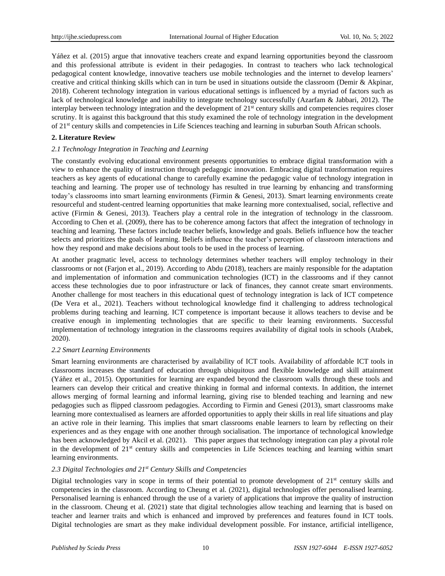Yáñez et al. (2015) argue that innovative teachers create and expand learning opportunities beyond the classroom and this professional attribute is evident in their pedagogies. In contrast to teachers who lack technological pedagogical content knowledge, innovative teachers use mobile technologies and the internet to develop learners' creative and critical thinking skills which can in turn be used in situations outside the classroom (Demir & Akpinar, 2018). Coherent technology integration in various educational settings is influenced by a myriad of factors such as lack of technological knowledge and inability to integrate technology successfully (Azarfam & Jabbari, 2012). The interplay between technology integration and the development of 21<sup>st</sup> century skills and competencies requires closer scrutiny. It is against this background that this study examined the role of technology integration in the development of 21st century skills and competencies in Life Sciences teaching and learning in suburban South African schools.

# **2. Literature Review**

# *2.1 Technology Integration in Teaching and Learning*

The constantly evolving educational environment presents opportunities to embrace digital transformation with a view to enhance the quality of instruction through pedagogic innovation. Embracing digital transformation requires teachers as key agents of educational change to carefully examine the pedagogic value of technology integration in teaching and learning. The proper use of technology has resulted in true learning by enhancing and transforming today's classrooms into smart learning environments (Firmin & Genesi, 2013). Smart learning environments create resourceful and student-centred learning opportunities that make learning more contextualised, social, reflective and active (Firmin & Genesi, 2013). Teachers play a central role in the integration of technology in the classroom. According to Chen et al. (2009), there has to be coherence among factors that affect the integration of technology in teaching and learning. These factors include teacher beliefs, knowledge and goals. Beliefs influence how the teacher selects and prioritizes the goals of learning. Beliefs influence the teacher's perception of classroom interactions and how they respond and make decisions about tools to be used in the process of learning.

At another pragmatic level, access to technology determines whether teachers will employ technology in their classrooms or not (Farjon et al., 2019). According to Abdu (2018), teachers are mainly responsible for the adaptation and implementation of information and communication technologies (ICT) in the classrooms and if they cannot access these technologies due to poor infrastructure or lack of finances, they cannot create smart environments. Another challenge for most teachers in this educational quest of technology integration is lack of ICT competence (De Vera et al., 2021). Teachers without technological knowledge find it challenging to address technological problems during teaching and learning. ICT competence is important because it allows teachers to devise and be creative enough in implementing technologies that are specific to their learning environments. Successful implementation of technology integration in the classrooms requires availability of digital tools in schools (Atabek, 2020).

## *2.2 Smart Learning Environments*

Smart learning environments are characterised by availability of ICT tools. Availability of affordable ICT tools in classrooms increases the standard of education through ubiquitous and flexible knowledge and skill attainment (Yáñez et al., 2015). Opportunities for learning are expanded beyond the classroom walls through these tools and learners can develop their critical and creative thinking in formal and informal contexts. In addition, the internet allows merging of formal learning and informal learning, giving rise to blended teaching and learning and new pedagogies such as flipped classroom pedagogies. According to Firmin and Genesi (2013), smart classrooms make learning more contextualised as learners are afforded opportunities to apply their skills in real life situations and play an active role in their learning. This implies that smart classrooms enable learners to learn by reflecting on their experiences and as they engage with one another through socialisation. The importance of technological knowledge has been acknowledged by Akcil et al. (2021). This paper argues that technology integration can play a pivotal role in the development of  $21<sup>st</sup>$  century skills and competencies in Life Sciences teaching and learning within smart learning environments.

## *2.3 Digital Technologies and 21st Century Skills and Competencies*

Digital technologies vary in scope in terms of their potential to promote development of  $21<sup>st</sup>$  century skills and competencies in the classroom. According to Cheung et al. (2021), digital technologies offer personalised learning. Personalised learning is enhanced through the use of a variety of applications that improve the quality of instruction in the classroom. Cheung et al. (2021) state that digital technologies allow teaching and learning that is based on teacher and learner traits and which is enhanced and improved by preferences and features found in ICT tools. Digital technologies are smart as they make individual development possible. For instance, artificial intelligence,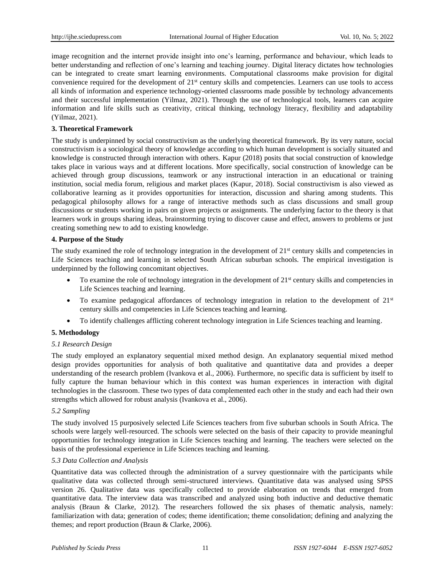image recognition and the internet provide insight into one's learning, performance and behaviour, which leads to better understanding and reflection of one's learning and teaching journey. Digital literacy dictates how technologies can be integrated to create smart learning environments. Computational classrooms make provision for digital convenience required for the development of 21st century skills and competencies. Learners can use tools to access all kinds of information and experience technology-oriented classrooms made possible by technology advancements and their successful implementation (Yilmaz, 2021). Through the use of technological tools, learners can acquire information and life skills such as creativity, critical thinking, technology literacy, flexibility and adaptability (Yilmaz, 2021).

## **3. Theoretical Framework**

The study is underpinned by social constructivism as the underlying theoretical framework. By its very nature, social constructivism is a sociological theory of knowledge according to which human development is socially situated and knowledge is constructed through interaction with others. Kapur (2018) posits that social construction of knowledge takes place in various ways and at different locations. More specifically, social construction of knowledge can be achieved through group discussions, teamwork or any instructional interaction in an educational or training institution, social media forum, religious and market places (Kapur, 2018). Social constructivism is also viewed as collaborative learning as it provides opportunities for interaction, discussion and sharing among students. This pedagogical philosophy allows for a range of interactive methods such as class discussions and small group discussions or students working in pairs on given projects or assignments. The underlying factor to the theory is that learners work in groups sharing ideas, brainstorming trying to discover cause and effect, answers to problems or just creating something new to add to existing knowledge.

## **4. Purpose of the Study**

The study examined the role of technology integration in the development of  $21<sup>st</sup>$  century skills and competencies in Life Sciences teaching and learning in selected South African suburban schools. The empirical investigation is underpinned by the following concomitant objectives.

- To examine the role of technology integration in the development of  $21<sup>st</sup>$  century skills and competencies in Life Sciences teaching and learning.
- To examine pedagogical affordances of technology integration in relation to the development of  $21<sup>st</sup>$ century skills and competencies in Life Sciences teaching and learning.
- To identify challenges afflicting coherent technology integration in Life Sciences teaching and learning.

## **5. Methodology**

## *5.1 Research Design*

The study employed an explanatory sequential mixed method design. An explanatory sequential mixed method design provides opportunities for analysis of both qualitative and quantitative data and provides a deeper understanding of the research problem (Ivankova et al., 2006). Furthermore, no specific data is sufficient by itself to fully capture the human behaviour which in this context was human experiences in interaction with digital technologies in the classroom. These two types of data complemented each other in the study and each had their own strengths which allowed for robust analysis (Ivankova et al., 2006).

## *5.2 Sampling*

The study involved 15 purposively selected Life Sciences teachers from five suburban schools in South Africa. The schools were largely well-resourced. The schools were selected on the basis of their capacity to provide meaningful opportunities for technology integration in Life Sciences teaching and learning. The teachers were selected on the basis of the professional experience in Life Sciences teaching and learning.

## *5.3 Data Collection and Analysis*

Quantitative data was collected through the administration of a survey questionnaire with the participants while qualitative data was collected through semi-structured interviews. Quantitative data was analysed using SPSS version 26. Qualitative data was specifically collected to provide elaboration on trends that emerged from quantitative data. The interview data was transcribed and analyzed using both inductive and deductive thematic analysis (Braun & Clarke, 2012). The researchers followed the six phases of thematic analysis, namely: familiarization with data; generation of codes; theme identification; theme consolidation; defining and analyzing the themes; and report production (Braun & Clarke, 2006).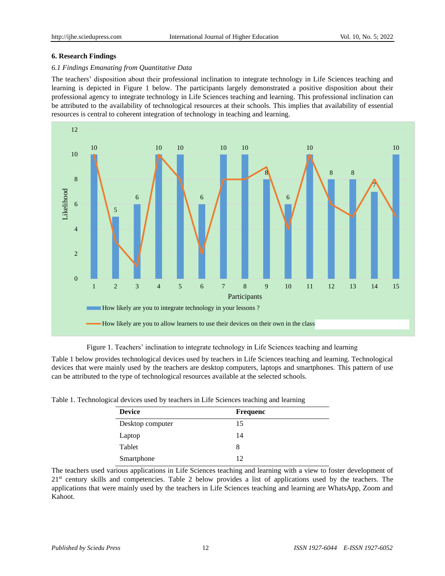## **6. Research Findings**

# *6.1 Findings Emanating from Quantitative Data*

The teachers' disposition about their professional inclination to integrate technology in Life Sciences teaching and learning is depicted in Figure 1 below. The participants largely demonstrated a positive disposition about their professional agency to integrate technology in Life Sciences teaching and learning. This professional inclination can be attributed to the availability of technological resources at their schools. This implies that availability of essential resources is central to coherent integration of technology in teaching and learning.





Table 1 below provides technological devices used by teachers in Life Sciences teaching and learning. Technological devices that were mainly used by the teachers are desktop computers, laptops and smartphones. This pattern of use can be attributed to the type of technological resources available at the selected schools.

| Table 1. Technological devices used by teachers in Life Sciences teaching and learning |  |  |  |  |
|----------------------------------------------------------------------------------------|--|--|--|--|
|                                                                                        |  |  |  |  |

| <b>Device</b>    | Frequenc |
|------------------|----------|
| Desktop computer | 15       |
| Laptop           | 14       |
| Tablet           | 8        |
| Smartphone       | 12       |

The teachers used various applications in Life Sciences teaching and learning with a view to foster development of 21st century skills and competencies. Table 2 below provides a list of applications used by the teachers. The applications that were mainly used by the teachers in Life Sciences teaching and learning are WhatsApp, Zoom and Kahoot.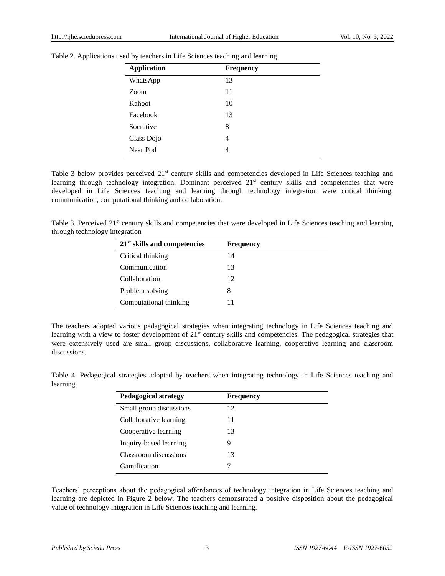| <b>Application</b> | <b>Frequency</b> |
|--------------------|------------------|
| WhatsApp           | 13               |
| Zoom               | 11               |
| Kahoot             | 10               |
| Facebook           | 13               |
| Socrative          | 8                |
| Class Dojo         | 4                |
| Near Pod           | 4                |

Table 2. Applications used by teachers in Life Sciences teaching and learning

Table 3 below provides perceived 21<sup>st</sup> century skills and competencies developed in Life Sciences teaching and learning through technology integration. Dominant perceived 21<sup>st</sup> century skills and competencies that were developed in Life Sciences teaching and learning through technology integration were critical thinking, communication, computational thinking and collaboration.

Table 3. Perceived 21<sup>st</sup> century skills and competencies that were developed in Life Sciences teaching and learning through technology integration

| $21st$ skills and competencies | <b>Frequency</b> |
|--------------------------------|------------------|
| Critical thinking              | 14               |
| Communication                  | 13               |
| Collaboration                  | 12               |
| Problem solving                | 8                |
| Computational thinking         | 11               |

The teachers adopted various pedagogical strategies when integrating technology in Life Sciences teaching and learning with a view to foster development of 21<sup>st</sup> century skills and competencies. The pedagogical strategies that were extensively used are small group discussions, collaborative learning, cooperative learning and classroom discussions.

Table 4. Pedagogical strategies adopted by teachers when integrating technology in Life Sciences teaching and learning

| <b>Pedagogical strategy</b> | <b>Frequency</b> |  |
|-----------------------------|------------------|--|
| Small group discussions     | 12               |  |
| Collaborative learning      | 11               |  |
| Cooperative learning        | 13               |  |
| Inquiry-based learning      | 9                |  |
| Classroom discussions       | 13               |  |
| Gamification                |                  |  |

Teachers' perceptions about the pedagogical affordances of technology integration in Life Sciences teaching and learning are depicted in Figure 2 below. The teachers demonstrated a positive disposition about the pedagogical value of technology integration in Life Sciences teaching and learning.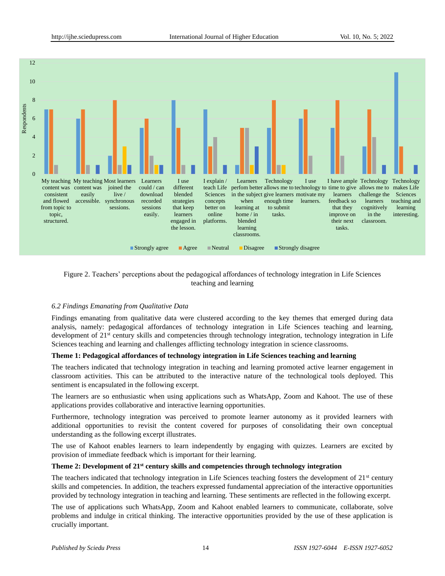

# Figure 2. Teachers' perceptions about the pedagogical affordances of technology integration in Life Sciences teaching and learning

## *6.2 Findings Emanating from Qualitative Data*

Findings emanating from qualitative data were clustered according to the key themes that emerged during data analysis, namely: pedagogical affordances of technology integration in Life Sciences teaching and learning, development of 21st century skills and competencies through technology integration, technology integration in Life Sciences teaching and learning and challenges afflicting technology integration in science classrooms.

## **Theme 1: Pedagogical affordances of technology integration in Life Sciences teaching and learning**

The teachers indicated that technology integration in teaching and learning promoted active learner engagement in classroom activities. This can be attributed to the interactive nature of the technological tools deployed. This sentiment is encapsulated in the following excerpt.

The learners are so enthusiastic when using applications such as WhatsApp, Zoom and Kahoot. The use of these applications provides collaborative and interactive learning opportunities.

Furthermore, technology integration was perceived to promote learner autonomy as it provided learners with additional opportunities to revisit the content covered for purposes of consolidating their own conceptual understanding as the following excerpt illustrates.

The use of Kahoot enables learners to learn independently by engaging with quizzes. Learners are excited by provision of immediate feedback which is important for their learning.

## **Theme 2: Development of 21st century skills and competencies through technology integration**

The teachers indicated that technology integration in Life Sciences teaching fosters the development of  $21<sup>st</sup>$  century skills and competencies. In addition, the teachers expressed fundamental appreciation of the interactive opportunities provided by technology integration in teaching and learning. These sentiments are reflected in the following excerpt.

The use of applications such WhatsApp, Zoom and Kahoot enabled learners to communicate, collaborate, solve problems and indulge in critical thinking. The interactive opportunities provided by the use of these application is crucially important.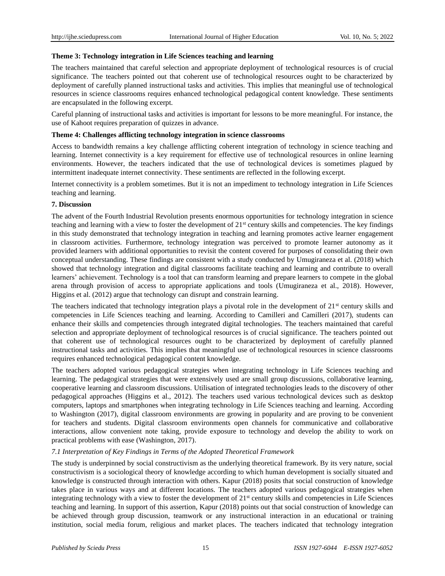## **Theme 3: Technology integration in Life Sciences teaching and learning**

The teachers maintained that careful selection and appropriate deployment of technological resources is of crucial significance. The teachers pointed out that coherent use of technological resources ought to be characterized by deployment of carefully planned instructional tasks and activities. This implies that meaningful use of technological resources in science classrooms requires enhanced technological pedagogical content knowledge. These sentiments are encapsulated in the following excerpt.

Careful planning of instructional tasks and activities is important for lessons to be more meaningful. For instance, the use of Kahoot requires preparation of quizzes in advance.

## **Theme 4: Challenges afflicting technology integration in science classrooms**

Access to bandwidth remains a key challenge afflicting coherent integration of technology in science teaching and learning. Internet connectivity is a key requirement for effective use of technological resources in online learning environments. However, the teachers indicated that the use of technological devices is sometimes plagued by intermittent inadequate internet connectivity. These sentiments are reflected in the following excerpt.

Internet connectivity is a problem sometimes. But it is not an impediment to technology integration in Life Sciences teaching and learning.

## **7. Discussion**

The advent of the Fourth Industrial Revolution presents enormous opportunities for technology integration in science teaching and learning with a view to foster the development of  $21<sup>st</sup>$  century skills and competencies. The key findings in this study demonstrated that technology integration in teaching and learning promotes active learner engagement in classroom activities. Furthermore, technology integration was perceived to promote learner autonomy as it provided learners with additional opportunities to revisit the content covered for purposes of consolidating their own conceptual understanding. These findings are consistent with a study conducted by Umugiraneza et al. (2018) which showed that technology integration and digital classrooms facilitate teaching and learning and contribute to overall learners' achievement. Technology is a tool that can transform learning and prepare learners to compete in the global arena through provision of access to appropriate applications and tools (Umugiraneza et al., 2018). However, Higgins et al. (2012) argue that technology can disrupt and constrain learning.

The teachers indicated that technology integration plays a pivotal role in the development of  $21<sup>st</sup>$  century skills and competencies in Life Sciences teaching and learning. According to Camilleri and Camilleri (2017), students can enhance their skills and competencies through integrated digital technologies. The teachers maintained that careful selection and appropriate deployment of technological resources is of crucial significance. The teachers pointed out that coherent use of technological resources ought to be characterized by deployment of carefully planned instructional tasks and activities. This implies that meaningful use of technological resources in science classrooms requires enhanced technological pedagogical content knowledge.

The teachers adopted various pedagogical strategies when integrating technology in Life Sciences teaching and learning. The pedagogical strategies that were extensively used are small group discussions, collaborative learning, cooperative learning and classroom discussions. Utilisation of integrated technologies leads to the discovery of other pedagogical approaches (Higgins et al., 2012). The teachers used various technological devices such as desktop computers, laptops and smartphones when integrating technology in Life Sciences teaching and learning. According to Washington (2017), digital classroom environments are growing in popularity and are proving to be convenient for teachers and students. Digital classroom environments open channels for communicative and collaborative interactions, allow convenient note taking, provide exposure to technology and develop the ability to work on practical problems with ease (Washington, 2017).

## *7.1 Interpretation of Key Findings in Terms of the Adopted Theoretical Framework*

The study is underpinned by social constructivism as the underlying theoretical framework. By its very nature, social constructivism is a sociological theory of knowledge according to which human development is socially situated and knowledge is constructed through interaction with others. Kapur (2018) posits that social construction of knowledge takes place in various ways and at different locations. The teachers adopted various pedagogical strategies when integrating technology with a view to foster the development of 21<sup>st</sup> century skills and competencies in Life Sciences teaching and learning. In support of this assertion, Kapur (2018) points out that social construction of knowledge can be achieved through group discussion, teamwork or any instructional interaction in an educational or training institution, social media forum, religious and market places. The teachers indicated that technology integration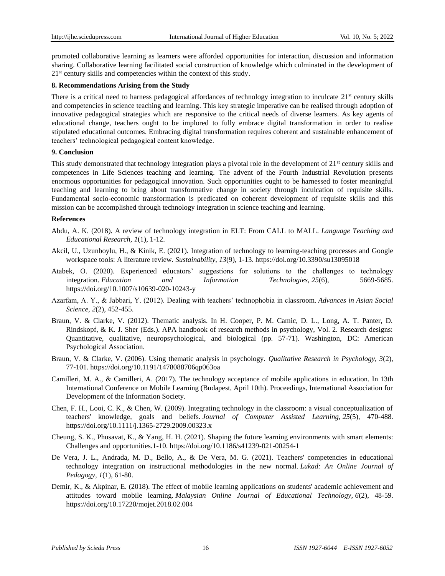promoted collaborative learning as learners were afforded opportunities for interaction, discussion and information sharing. Collaborative learning facilitated social construction of knowledge which culminated in the development of 21<sup>st</sup> century skills and competencies within the context of this study.

## **8. Recommendations Arising from the Study**

There is a critical need to harness pedagogical affordances of technology integration to inculcate  $21<sup>st</sup>$  century skills and competencies in science teaching and learning. This key strategic imperative can be realised through adoption of innovative pedagogical strategies which are responsive to the critical needs of diverse learners. As key agents of educational change, teachers ought to be implored to fully embrace digital transformation in order to realise stipulated educational outcomes. Embracing digital transformation requires coherent and sustainable enhancement of teachers' technological pedagogical content knowledge.

## **9. Conclusion**

This study demonstrated that technology integration plays a pivotal role in the development of  $21<sup>st</sup>$  century skills and competences in Life Sciences teaching and learning. The advent of the Fourth Industrial Revolution presents enormous opportunities for pedagogical innovation. Such opportunities ought to be harnessed to foster meaningful teaching and learning to bring about transformative change in society through inculcation of requisite skills. Fundamental socio-economic transformation is predicated on coherent development of requisite skills and this mission can be accomplished through technology integration in science teaching and learning.

## **References**

- Abdu, A. K. (2018). A review of technology integration in ELT: From CALL to MALL. *Language Teaching and Educational Research, 1*(1), 1-12.
- Akcil, U., Uzunboylu, H., & Kinik, E. (2021). Integration of technology to learning-teaching processes and Google workspace tools: A literature review. *Sustainability, 13*(9), 1-13. https://doi.org/10.3390/su13095018
- Atabek, O. (2020). Experienced educators' suggestions for solutions to the challenges to technology integration. *Education and Information Technologies, 25*(6), 5669-5685. https://doi.org/10.1007/s10639-020-10243-y
- Azarfam, A. Y., & Jabbari, Y. (2012). Dealing with teachers' technophobia in classroom. *Advances in Asian Social Science, 2*(2), 452-455.
- Braun, V. & Clarke, V. (2012). Thematic analysis. In H. Cooper, P. M. Camic, D. L., Long, A. T. Panter, D. Rindskopf, & K. J. Sher (Eds.). APA handbook of research methods in psychology, Vol. 2. Research designs: Quantitative, qualitative, neuropsychological, and biological (pp. 57-71). Washington, DC: American Psychological Association.
- Braun, V. & Clarke, V. (2006). Using thematic analysis in psychology. *Qualitative Research in Psychology, 3*(2), 77-101. https://doi.org/10.1191/1478088706qp063oa
- Camilleri, M. A., & Camilleri, A. (2017). The technology acceptance of mobile applications in education. In 13th International Conference on Mobile Learning (Budapest, April 10th). Proceedings, International Association for Development of the Information Society.
- Chen, F. H., Looi, C. K., & Chen, W. (2009). Integrating technology in the classroom: a visual conceptualization of teachers' knowledge, goals and beliefs. *Journal of Computer Assisted Learning, 25*(5), 470-488. https://doi.org/10.1111/j.1365-2729.2009.00323.x
- Cheung, S. K., Phusavat, K., & Yang, H. H. (2021). Shaping the future learning environments with smart elements: Challenges and opportunities.1-10. https://doi.org/10.1186/s41239-021-00254-1
- De Vera, J. L., Andrada, M. D., Bello, A., & De Vera, M. G. (2021). Teachers' competencies in educational technology integration on instructional methodologies in the new normal. *Lukad: An Online Journal of Pedagogy, 1*(1), 61-80.
- Demir, K., & Akpinar, E. (2018). The effect of mobile learning applications on students' academic achievement and attitudes toward mobile learning. *Malaysian Online Journal of Educational Technology, 6*(2), 48-59. https://doi.org/10.17220/mojet.2018.02.004